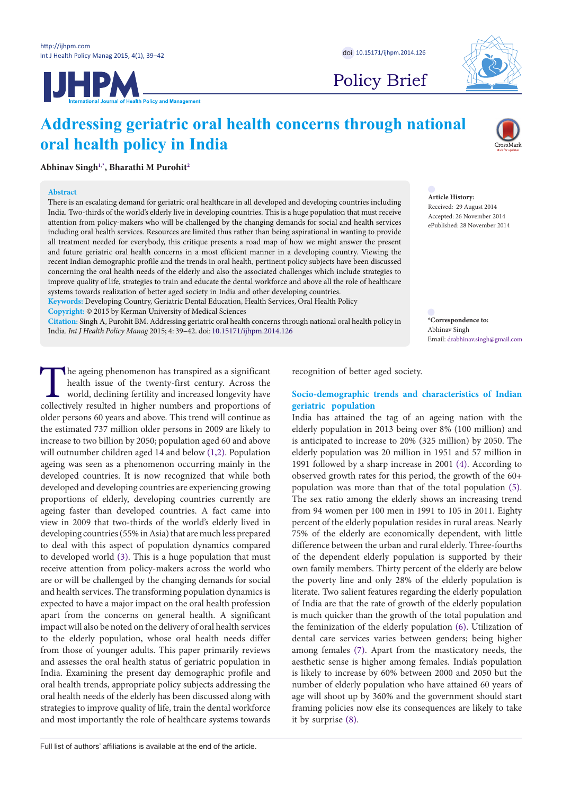



Policy Brief

# **Addressing geriatric oral health concerns through national oral health policy in India**



**Abhinav Sing[h1](#page-3-0)[,\\*](#page-0-0) , Bharathi M Purohi[t2](#page-3-1)**

#### **Abstract**

There is an escalating demand for geriatric oral healthcare in all developed and developing countries including India. Two-thirds of the world's elderly live in developing countries. This is a huge population that must receive attention from policy-makers who will be challenged by the changing demands for social and health services including oral health services. Resources are limited thus rather than being aspirational in wanting to provide all treatment needed for everybody, this critique presents a road map of how we might answer the present and future geriatric oral health concerns in a most efficient manner in a developing country. Viewing the recent Indian demographic profile and the trends in oral health, pertinent policy subjects have been discussed concerning the oral health needs of the elderly and also the associated challenges which include strategies to improve quality of life, strategies to train and educate the dental workforce and above all the role of healthcare systems towards realization of better aged society in India and other developing countries.

**Keywords:** Developing Country, Geriatric Dental Education, Health Services, Oral Health Policy **Copyright:** © 2015 by Kerman University of Medical Sciences

**Citation:** Singh A, Purohit BM. Addressing geriatric oral health concerns through national oral health policy in India. *Int J Health Policy Manag* 2015; 4: 39–42. doi: [10.15171/ijhpm.2014.126](http://dx.doi.org/10.15171/ijhpm.2014.126)

The ageing phenomenon has transpired as a significant health issue of the twenty-first century. Across the world, declining fertility and increased longevity have collectively resulted in higher numbers and proportions of health issue of the twenty-first century. Across the world, declining fertility and increased longevity have collectively resulted in higher numbers and proportions of older persons 60 years and above. This trend will continue as the estimated 737 million older persons in 2009 are likely to increase to two billion by 2050; population aged 60 and above will outnumber children aged 14 and below ([1,](#page-3-2)[2\)](#page-3-3). Population ageing was seen as a phenomenon occurring mainly in the developed countries. It is now recognized that while both developed and developing countries are experiencing growing proportions of elderly, developing countries currently are ageing faster than developed countries. A fact came into view in 2009 that two-thirds of the world's elderly lived in developing countries (55% in Asia) that are much less prepared to deal with this aspect of population dynamics compared to developed world ([3](#page-3-4)). This is a huge population that must receive attention from policy-makers across the world who are or will be challenged by the changing demands for social and health services. The transforming population dynamics is expected to have a major impact on the oral health profession apart from the concerns on general health. A significant impact will also be noted on the delivery of oral health services to the elderly population, whose oral health needs differ from those of younger adults. This paper primarily reviews and assesses the oral health status of geriatric population in India. Examining the present day demographic profile and oral health trends, appropriate policy subjects addressing the oral health needs of the elderly has been discussed along with strategies to improve quality of life, train the dental workforce and most importantly the role of healthcare systems towards

Abhinav Singh Email: drabhinav.singh@gmail.com

<span id="page-0-0"></span>**\*Correspondence to:**

**Article History:** Received: 29 August 2014 Accepted: 26 November 2014 ePublished: 28 November 2014

recognition of better aged society.

## **Socio-demographic trends and characteristics of Indian geriatric population**

India has attained the tag of an ageing nation with the elderly population in 2013 being over 8% (100 million) and is anticipated to increase to 20% (325 million) by 2050. The elderly population was 20 million in 1951 and 57 million in 1991 followed by a sharp increase in 2001 ([4](#page-3-5)). According to observed growth rates for this period, the growth of the 60+ population was more than that of the total population ([5](#page-3-6)). The sex ratio among the elderly shows an increasing trend from 94 women per 100 men in 1991 to 105 in 2011. Eighty percent of the elderly population resides in rural areas. Nearly 75% of the elderly are economically dependent, with little difference between the urban and rural elderly. Three-fourths of the dependent elderly population is supported by their own family members. Thirty percent of the elderly are below the poverty line and only 28% of the elderly population is literate. Two salient features regarding the elderly population of India are that the rate of growth of the elderly population is much quicker than the growth of the total population and the feminization of the elderly population ([6\)](#page-3-7). Utilization of dental care services varies between genders; being higher among females [\(7](#page-3-8)). Apart from the masticatory needs, the aesthetic sense is higher among females. India's population is likely to increase by 60% between 2000 and 2050 but the number of elderly population who have attained 60 years of age will shoot up by 360% and the government should start framing policies now else its consequences are likely to take it by surprise ([8](#page-3-9)).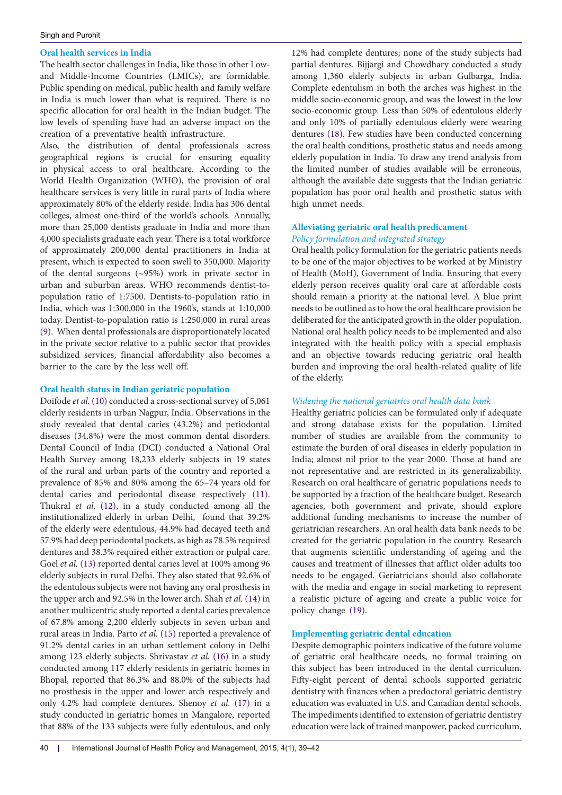### **Oral health services in India**

The health sector challenges in India, like those in other Lowand Middle-Income Countries (LMICs), are formidable. Public spending on medical, public health and family welfare in India is much lower than what is required. There is no specific allocation for oral health in the Indian budget. The low levels of spending have had an adverse impact on the creation of a preventative health infrastructure.

Also, the distribution of dental professionals across geographical regions is crucial for ensuring equality in physical access to oral healthcare. According to the World Health Organization (WHO), the provision of oral healthcare services is very little in rural parts of India where approximately 80% of the elderly reside. India has 306 dental colleges, almost one-third of the world's schools. Annually, more than 25,000 dentists graduate in India and more than 4,000 specialists graduate each year. There is a total workforce of approximately 200,000 dental practitioners in India at present, which is expected to soon swell to 350,000. Majority of the dental surgeons (~95%) work in private sector in urban and suburban areas. WHO recommends dentist-topopulation ratio of 1:7500. Dentists-to-population ratio in India, which was 1:300,000 in the 1960's, stands at 1:10,000 today. Dentist-to-population ratio is 1:250,000 in rural areas ([9\)](#page-3-10). When dental professionals are disproportionately located in the private sector relative to a public sector that provides subsidized services, financial affordability also becomes a barrier to the care by the less well off.

## **Oral health status in Indian geriatric population**

Doifode *et al*. ([10](#page-3-11)) conducted a cross-sectional survey of 5,061 elderly residents in urban Nagpur, India. Observations in the study revealed that dental caries (43.2%) and periodontal diseases (34.8%) were the most common dental disorders. Dental Council of India (DCI) conducted a National Oral Health Survey among 18,233 elderly subjects in 19 states of the rural and urban parts of the country and reported a prevalence of 85% and 80% among the 65–74 years old for dental caries and periodontal disease respectively ([11](#page-3-12)). Thukral *et al.* ([12\)](#page-3-13), in a study conducted among all the institutionalized elderly in urban Delhi, found that 39.2% of the elderly were edentulous, 44.9% had decayed teeth and 57.9% had deep periodontal pockets, as high as 78.5% required dentures and 38.3% required either extraction or pulpal care. Goel *et al.* [\(13](#page-3-14)) reported dental caries level at 100% among 96 elderly subjects in rural Delhi. They also stated that 92.6% of the edentulous subjects were not having any oral prosthesis in the upper arch and 92.5% in the lower arch. Shah *et al.* ([14\)](#page-3-15) in another multicentric study reported a dental caries prevalence of 67.8% among 2,200 elderly subjects in seven urban and rural areas in India. Parto *et al.* [\(15\)](#page-3-16) reported a prevalence of 91.2% dental caries in an urban settlement colony in Delhi among 123 elderly subjects. Shrivastav *et al.* [\(16\)](#page-3-17) in a study conducted among 117 elderly residents in geriatric homes in Bhopal, reported that 86.3% and 88.0% of the subjects had no prosthesis in the upper and lower arch respectively and only 4.2% had complete dentures. Shenoy *et al.* ([17](#page-3-18)) in a study conducted in geriatric homes in Mangalore, reported that 88% of the 133 subjects were fully edentulous, and only

12% had complete dentures; none of the study subjects had partial dentures. Bijjargi and Chowdhary conducted a study among 1,360 elderly subjects in urban Gulbarga, India. Complete edentulism in both the arches was highest in the middle socio-economic group, and was the lowest in the low socio-economic group. Less than 50% of edentulous elderly and only 10% of partially edentulous elderly were wearing dentures [\(18\)](#page-3-19). Few studies have been conducted concerning the oral health conditions, prosthetic status and needs among elderly population in India. To draw any trend analysis from the limited number of studies available will be erroneous, although the available date suggests that the Indian geriatric population has poor oral health and prosthetic status with high unmet needs.

# **Alleviating geriatric oral health predicament** *Policy formulation and integrated strategy*

Oral health policy formulation for the geriatric patients needs to be one of the major objectives to be worked at by Ministry of Health (MoH), Government of India. Ensuring that every elderly person receives quality oral care at affordable costs should remain a priority at the national level. A blue print needs to be outlined as to how the oral healthcare provision be deliberated for the anticipated growth in the older population. National oral health policy needs to be implemented and also integrated with the health policy with a special emphasis and an objective towards reducing geriatric oral health burden and improving the oral health-related quality of life of the elderly.

# *Widening the national geriatrics oral health data bank*

Healthy geriatric policies can be formulated only if adequate and strong database exists for the population. Limited number of studies are available from the community to estimate the burden of oral diseases in elderly population in India; almost nil prior to the year 2000. Those at hand are not representative and are restricted in its generalizability. Research on oral healthcare of geriatric populations needs to be supported by a fraction of the healthcare budget. Research agencies, both government and private, should explore additional funding mechanisms to increase the number of geriatrician researchers. An oral health data bank needs to be created for the geriatric population in the country. Research that augments scientific understanding of ageing and the causes and treatment of illnesses that afflict older adults too needs to be engaged. Geriatricians should also collaborate with the media and engage in social marketing to represent a realistic picture of ageing and create a public voice for policy change ([19](#page-3-20)).

# **Implementing geriatric dental education**

Despite demographic pointers indicative of the future volume of geriatric oral healthcare needs, no formal training on this subject has been introduced in the dental curriculum. Fifty-eight percent of dental schools supported geriatric dentistry with finances when a predoctoral geriatric dentistry education was evaluated in U.S. and Canadian dental schools. The impediments identified to extension of geriatric dentistry education were lack of trained manpower, packed curriculum,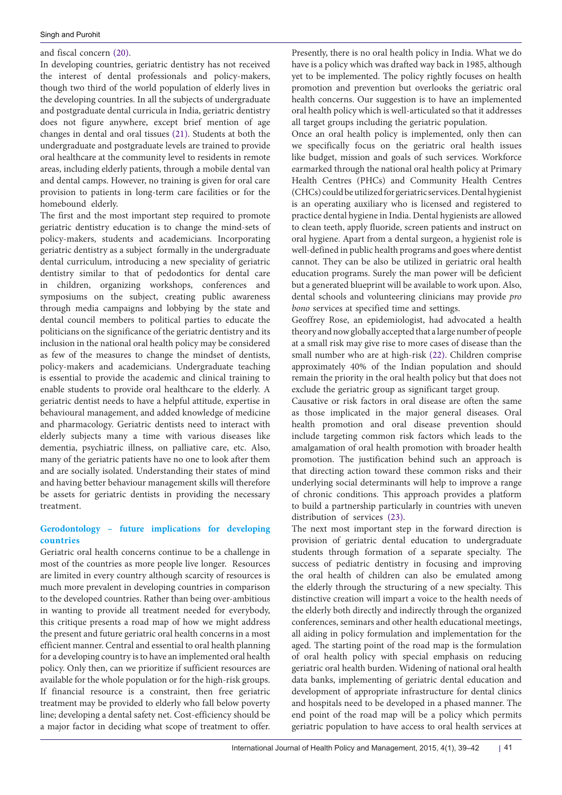and fiscal concern [\(20\)](#page-3-21).

In developing countries, geriatric dentistry has not received the interest of dental professionals and policy-makers, though two third of the world population of elderly lives in the developing countries. In all the subjects of undergraduate and postgraduate dental curricula in India, geriatric dentistry does not figure anywhere, except brief mention of age changes in dental and oral tissues ([21](#page-3-22)). Students at both the undergraduate and postgraduate levels are trained to provide oral healthcare at the community level to residents in remote areas, including elderly patients, through a mobile dental van and dental camps. However, no training is given for oral care provision to patients in long-term care facilities or for the homebound elderly.

The first and the most important step required to promote geriatric dentistry education is to change the mind-sets of policy-makers, students and academicians. Incorporating geriatric dentistry as a subject formally in the undergraduate dental curriculum, introducing a new speciality of geriatric dentistry similar to that of pedodontics for dental care in children, organizing workshops, conferences and symposiums on the subject, creating public awareness through media campaigns and lobbying by the state and dental council members to political parties to educate the politicians on the significance of the geriatric dentistry and its inclusion in the national oral health policy may be considered as few of the measures to change the mindset of dentists, policy-makers and academicians. Undergraduate teaching is essential to provide the academic and clinical training to enable students to provide oral healthcare to the elderly. A geriatric dentist needs to have a helpful attitude, expertise in behavioural management, and added knowledge of medicine and pharmacology. Geriatric dentists need to interact with elderly subjects many a time with various diseases like dementia, psychiatric illness, on palliative care, etc. Also, many of the geriatric patients have no one to look after them and are socially isolated. Understanding their states of mind and having better behaviour management skills will therefore be assets for geriatric dentists in providing the necessary treatment.

## **Gerodontology – future implications for developing countries**

Geriatric oral health concerns continue to be a challenge in most of the countries as more people live longer. Resources are limited in every country although scarcity of resources is much more prevalent in developing countries in comparison to the developed countries. Rather than being over-ambitious in wanting to provide all treatment needed for everybody, this critique presents a road map of how we might address the present and future geriatric oral health concerns in a most efficient manner. Central and essential to oral health planning for a developing country is to have an implemented oral health policy. Only then, can we prioritize if sufficient resources are available for the whole population or for the high-risk groups. If financial resource is a constraint, then free geriatric treatment may be provided to elderly who fall below poverty line; developing a dental safety net. Cost-efficiency should be a major factor in deciding what scope of treatment to offer.

Presently, there is no oral health policy in India. What we do have is a policy which was drafted way back in 1985, although yet to be implemented. The policy rightly focuses on health promotion and prevention but overlooks the geriatric oral health concerns. Our suggestion is to have an implemented oral health policy which is well-articulated so that it addresses all target groups including the geriatric population.

Once an oral health policy is implemented, only then can we specifically focus on the geriatric oral health issues like budget, mission and goals of such services. Workforce earmarked through the national oral health policy at Primary Health Centres (PHCs) and Community Health Centres (CHCs) could be utilized for geriatric services. Dental hygienist is an operating auxiliary who is licensed and registered to practice dental hygiene in India. Dental hygienists are allowed to clean teeth, apply fluoride, screen patients and instruct on oral hygiene. Apart from a dental surgeon, a hygienist role is well-defined in public health programs and goes where dentist cannot. They can be also be utilized in geriatric oral health education programs. Surely the man power will be deficient but a generated blueprint will be available to work upon. Also, dental schools and volunteering clinicians may provide *pro bono* services at specified time and settings.

Geoffrey Rose, an epidemiologist, had advocated a health theory and now globally accepted that a large number of people at a small risk may give rise to more cases of disease than the small number who are at high-risk [\(22\)](#page-3-23). Children comprise approximately 40% of the Indian population and should remain the priority in the oral health policy but that does not exclude the geriatric group as significant target group.

Causative or risk factors in oral disease are often the same as those implicated in the major general diseases. Oral health promotion and oral disease prevention should include targeting common risk factors which leads to the amalgamation of oral health promotion with broader health promotion. The justification behind such an approach is that directing action toward these common risks and their underlying social determinants will help to improve a range of chronic conditions. This approach provides a platform to build a partnership particularly in countries with uneven distribution of services [\(23\)](#page-3-24).

The next most important step in the forward direction is provision of geriatric dental education to undergraduate students through formation of a separate specialty. The success of pediatric dentistry in focusing and improving the oral health of children can also be emulated among the elderly through the structuring of a new specialty. This distinctive creation will impart a voice to the health needs of the elderly both directly and indirectly through the organized conferences, seminars and other health educational meetings, all aiding in policy formulation and implementation for the aged. The starting point of the road map is the formulation of oral health policy with special emphasis on reducing geriatric oral health burden. Widening of national oral health data banks, implementing of geriatric dental education and development of appropriate infrastructure for dental clinics and hospitals need to be developed in a phased manner. The end point of the road map will be a policy which permits geriatric population to have access to oral health services at